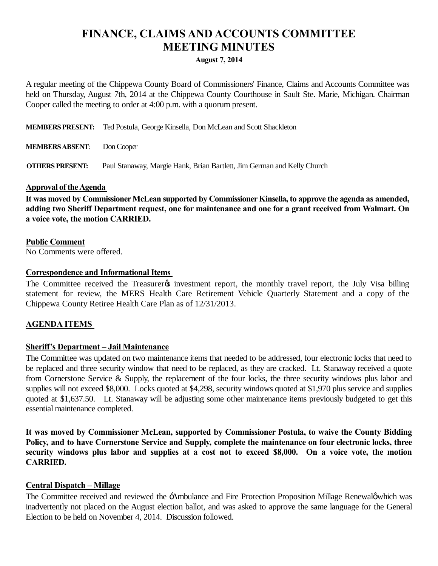# **FINANCE, CLAIMS AND ACCOUNTS COMMITTEE MEETING MINUTES**

#### **August 7, 2014**

A regular meeting of the Chippewa County Board of Commissioners' Finance, Claims and Accounts Committee was held on Thursday, August 7th, 2014 at the Chippewa County Courthouse in Sault Ste. Marie, Michigan. Chairman Cooper called the meeting to order at 4:00 p.m. with a quorum present.

**MEMBERS PRESENT:** Ted Postula, George Kinsella, Don McLean and Scott Shackleton

**MEMBERS ABSENT**: Don Cooper

**OTHERS PRESENT:** Paul Stanaway, Margie Hank, Brian Bartlett, Jim German and Kelly Church

#### **Approval of the Agenda**

It was moved by Commissioner McLean supported by Commissioner Kinsella, to approve the agenda as amended, **adding two Sheriff Department request, one for maintenance and one for a grant received from Walmart. On a voice vote, the motion CARRIED.**

#### **Public Comment**

No Comments were offered.

#### **Correspondence and Informational Items**

The Committee received the Treasurer investment report, the monthly travel report, the July Visa billing statement for review, the MERS Health Care Retirement Vehicle Quarterly Statement and a copy of the Chippewa County Retiree Health Care Plan as of 12/31/2013.

#### **AGENDA ITEMS**

#### **Sheriff's Department – Jail Maintenance**

The Committee was updated on two maintenance items that needed to be addressed, four electronic locks that need to be replaced and three security window that need to be replaced, as they are cracked. Lt. Stanaway received a quote from Cornerstone Service & Supply, the replacement of the four locks, the three security windows plus labor and supplies will not exceed \$8,000. Locks quoted at \$4,298, security windows quoted at \$1,970 plus service and supplies quoted at \$1,637.50. Lt. Stanaway will be adjusting some other maintenance items previously budgeted to get this essential maintenance completed.

**It was moved by Commissioner McLean, supported by Commissioner Postula, to waive the County Bidding Policy, and to have Cornerstone Service and Supply, complete the maintenance on four electronic locks, three security windows plus labor and supplies at a cost not to exceed \$8,000. On a voice vote, the motion CARRIED.**

#### **Central Dispatch – Millage**

The Committee received and reviewed the Ambulance and Fire Protection Proposition Millage Renewaløwhich was inadvertently not placed on the August election ballot, and was asked to approve the same language for the General Election to be held on November 4, 2014. Discussion followed.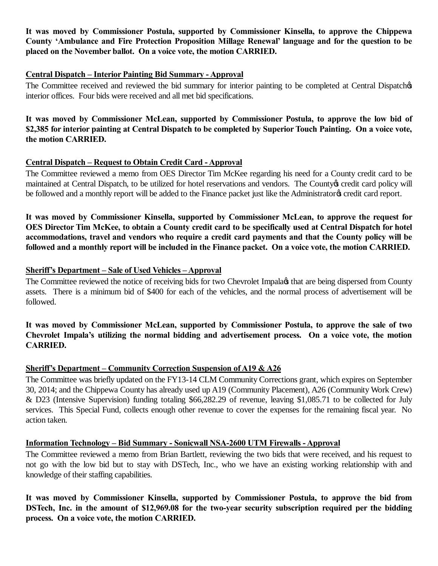**It was moved by Commissioner Postula, supported by Commissioner Kinsella, to approve the Chippewa County 'Ambulance and Fire Protection Proposition Millage Renewal' language and for the question to be placed on the November ballot. On a voice vote, the motion CARRIED.**

### **Central Dispatch – Interior Painting Bid Summary - Approval**

The Committee received and reviewed the bid summary for interior painting to be completed at Central Dispatches interior offices. Four bids were received and all met bid specifications.

**It was moved by Commissioner McLean, supported by Commissioner Postula, to approve the low bid of \$2,385 for interior painting at Central Dispatch to be completed by Superior Touch Painting. On a voice vote, the motion CARRIED.**

## **Central Dispatch – Request to Obtain Credit Card - Approval**

The Committee reviewed a memo from OES Director Tim McKee regarding his need for a County credit card to be maintained at Central Dispatch, to be utilized for hotel reservations and vendors. The County oscredit card policy will be followed and a monthly report will be added to the Finance packet just like the Administratory credit card report.

**It was moved by Commissioner Kinsella, supported by Commissioner McLean, to approve the request for OES Director Tim McKee, to obtain a County credit card to be specifically used at Central Dispatch for hotel accommodations, travel and vendors who require a credit card payments and that the County policy will be followed and a monthly report will be included in the Finance packet. On a voice vote, the motion CARRIED.**

#### **Sheriff's Department – Sale of Used Vehicles – Approval**

The Committee reviewed the notice of receiving bids for two Chevrolet Impala that are being dispersed from County assets. There is a minimum bid of \$400 for each of the vehicles, and the normal process of advertisement will be followed.

**It was moved by Commissioner McLean, supported by Commissioner Postula, to approve the sale of two Chevrolet Impala's utilizing the normal bidding and advertisement process. On a voice vote, the motion CARRIED.**

## **Sheriff's Department – Community Correction Suspension of A19 & A26**

The Committee was briefly updated on the FY13-14 CLM Community Corrections grant, which expires on September 30, 2014; and the Chippewa County has already used up A19 (Community Placement), A26 (Community Work Crew) & D23 (Intensive Supervision) funding totaling \$66,282.29 of revenue, leaving \$1,085.71 to be collected for July services. This Special Fund, collects enough other revenue to cover the expenses for the remaining fiscal year. No action taken.

## **Information Technology – Bid Summary - Sonicwall NSA-2600 UTM Firewalls - Approval**

The Committee reviewed a memo from Brian Bartlett, reviewing the two bids that were received, and his request to not go with the low bid but to stay with DSTech, Inc., who we have an existing working relationship with and knowledge of their staffing capabilities.

**It was moved by Commissioner Kinsella, supported by Commissioner Postula, to approve the bid from DSTech, Inc. in the amount of \$12,969.08 for the two-year security subscription required per the bidding process. On a voice vote, the motion CARRIED.**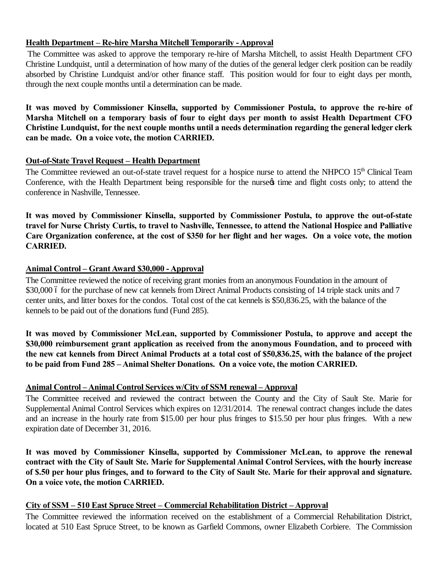# **Health Department – Re-hire Marsha Mitchell Temporarily - Approval**

The Committee was asked to approve the temporary re-hire of Marsha Mitchell, to assist Health Department CFO Christine Lundquist, until a determination of how many of the duties of the general ledger clerk position can be readily absorbed by Christine Lundquist and/or other finance staff. This position would for four to eight days per month, through the next couple months until a determination can be made.

**It was moved by Commissioner Kinsella, supported by Commissioner Postula, to approve the re-hire of Marsha Mitchell on a temporary basis of four to eight days per month to assist Health Department CFO Christine Lundquist, for the next couple months until a needs determination regarding the general ledger clerk can be made. On a voice vote, the motion CARRIED.**

## **Out-of-State Travel Request – Health Department**

The Committee reviewed an out-of-state travel request for a hospice nurse to attend the NHPCO  $15<sup>th</sup>$  Clinical Team Conference, with the Health Department being responsible for the nurse time and flight costs only; to attend the conference in Nashville, Tennessee.

**It was moved by Commissioner Kinsella, supported by Commissioner Postula, to approve the out-of-state travel for Nurse Christy Curtis, to travel to Nashville, Tennessee, to attend the National Hospice and Palliative Care Organization conference, at the cost of \$350 for her flight and her wages. On a voice vote, the motion CARRIED.**

# **Animal Control – Grant Award \$30,000 - Approval**

The Committee reviewed the notice of receiving grant monies from an anonymous Foundation in the amount of \$30,000 6 for the purchase of new cat kennels from Direct Animal Products consisting of 14 triple stack units and 7 center units, and litter boxes for the condos. Total cost of the cat kennels is \$50,836.25, with the balance of the kennels to be paid out of the donations fund (Fund 285).

**It was moved by Commissioner McLean, supported by Commissioner Postula, to approve and accept the \$30,000 reimbursement grant application as received from the anonymous Foundation, and to proceed with the new cat kennels from Direct Animal Products at a total cost of \$50,836.25, with the balance of the project to be paid from Fund 285 – Animal Shelter Donations. On a voice vote, the motion CARRIED.**

## **Animal Control – Animal Control Services w/City of SSM renewal – Approval**

The Committee received and reviewed the contract between the County and the City of Sault Ste. Marie for Supplemental Animal Control Services which expires on 12/31/2014. The renewal contract changes include the dates and an increase in the hourly rate from \$15.00 per hour plus fringes to \$15.50 per hour plus fringes. With a new expiration date of December 31, 2016.

**It was moved by Commissioner Kinsella, supported by Commissioner McLean, to approve the renewal contract with the City of Sault Ste. Marie for Supplemental Animal Control Services, with the hourly increase of \$.50 per hour plus fringes, and to forward to the City of Sault Ste. Marie for their approval and signature. On a voice vote, the motion CARRIED.**

## **City of SSM – 510 East Spruce Street – Commercial Rehabilitation District – Approval**

The Committee reviewed the information received on the establishment of a Commercial Rehabilitation District, located at 510 East Spruce Street, to be known as Garfield Commons, owner Elizabeth Corbiere. The Commission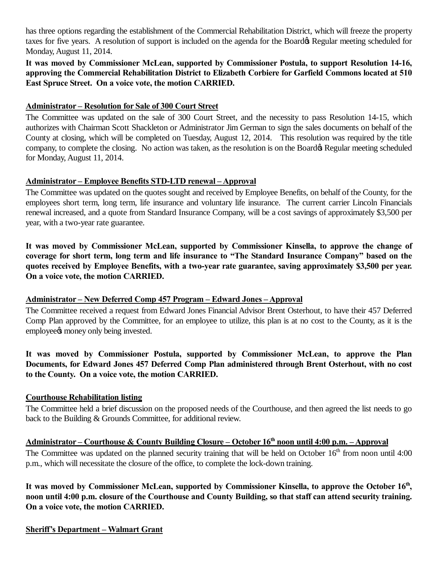has three options regarding the establishment of the Commercial Rehabilitation District, which will freeze the property taxes for five years. A resolution of support is included on the agenda for the Board & Regular meeting scheduled for Monday, August 11, 2014.

**It was moved by Commissioner McLean, supported by Commissioner Postula, to support Resolution 14-16, approving the Commercial Rehabilitation District to Elizabeth Corbiere for Garfield Commons located at 510 East Spruce Street. On a voice vote, the motion CARRIED.**

## **Administrator – Resolution for Sale of 300 Court Street**

The Committee was updated on the sale of 300 Court Street, and the necessity to pass Resolution 14-15, which authorizes with Chairman Scott Shackleton or Administrator Jim German to sign the sales documents on behalf of the County at closing, which will be completed on Tuesday, August 12, 2014. This resolution was required by the title company, to complete the closing. No action was taken, as the resolution is on the Board& Regular meeting scheduled for Monday, August 11, 2014.

#### **Administrator – Employee Benefits STD-LTD renewal – Approval**

The Committee was updated on the quotes sought and received by Employee Benefits, on behalf of the County, for the employees short term, long term, life insurance and voluntary life insurance. The current carrier Lincoln Financials renewal increased, and a quote from Standard Insurance Company, will be a cost savings of approximately \$3,500 per year, with a two-year rate guarantee.

**It was moved by Commissioner McLean, supported by Commissioner Kinsella, to approve the change of coverage for short term, long term and life insurance to "The Standard Insurance Company" based on the quotes received by Employee Benefits, with a two-year rate guarantee, saving approximately \$3,500 per year. On a voice vote, the motion CARRIED.**

## **Administrator – New Deferred Comp 457 Program – Edward Jones – Approval**

The Committee received a request from Edward Jones Financial Advisor Brent Osterhout, to have their 457 Deferred Comp Plan approved by the Committee, for an employee to utilize, this plan is at no cost to the County, as it is the employee<sup>s</sup> money only being invested.

## **It was moved by Commissioner Postula, supported by Commissioner McLean, to approve the Plan Documents, for Edward Jones 457 Deferred Comp Plan administered through Brent Osterhout, with no cost to the County. On a voice vote, the motion CARRIED.**

## **Courthouse Rehabilitation listing**

The Committee held a brief discussion on the proposed needs of the Courthouse, and then agreed the list needs to go back to the Building & Grounds Committee, for additional review.

# **Administrator – Courthouse & County Building Closure – October 16th noon until 4:00 p.m. – Approval**

The Committee was updated on the planned security training that will be held on October 16<sup>th</sup> from noon until 4:00 p.m., which will necessitate the closure of the office, to complete the lock-down training.

It was moved by Commissioner McLean, supported by Commissioner Kinsella, to approve the October 16<sup>th</sup>, **noon until 4:00 p.m. closure of the Courthouse and County Building, so that staff can attend security training. On a voice vote, the motion CARRIED.**

**Sheriff's Department – Walmart Grant**